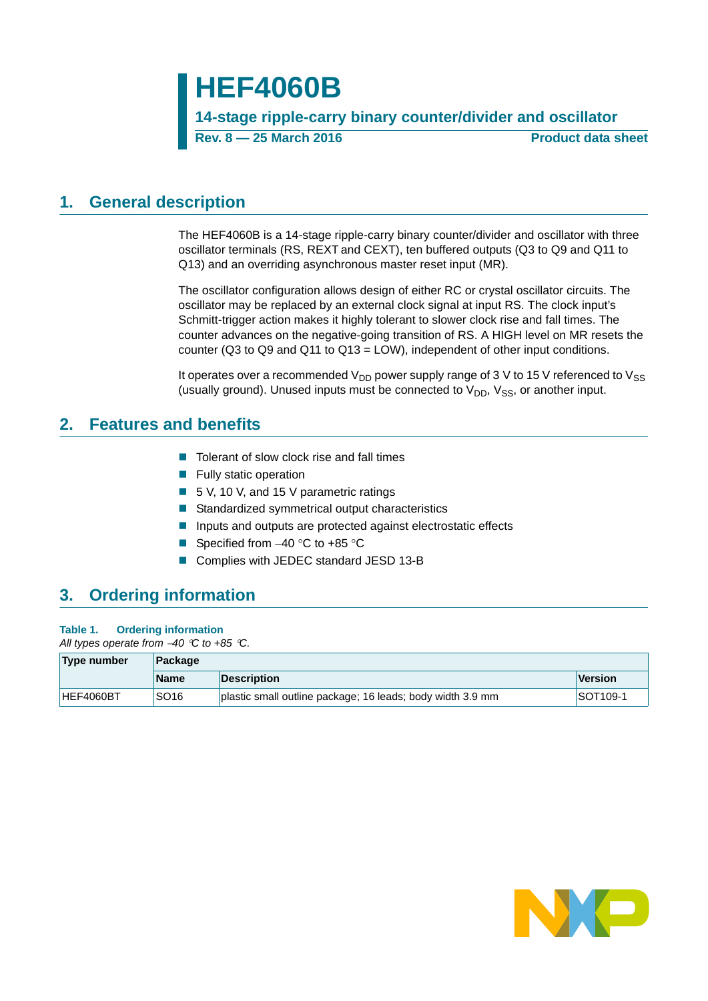# **HEF4060B**

**14-stage ripple-carry binary counter/divider and oscillator Rev. 8 — 25 March 2016 Product data sheet**

# <span id="page-0-0"></span>**1. General description**

The HEF4060B is a 14-stage ripple-carry binary counter/divider and oscillator with three oscillator terminals (RS, REXT and CEXT), ten buffered outputs (Q3 to Q9 and Q11 to Q13) and an overriding asynchronous master reset input (MR).

The oscillator configuration allows design of either RC or crystal oscillator circuits. The oscillator may be replaced by an external clock signal at input RS. The clock input's Schmitt-trigger action makes it highly tolerant to slower clock rise and fall times. The counter advances on the negative-going transition of RS. A HIGH level on MR resets the counter ( $Q3$  to  $Q9$  and  $Q11$  to  $Q13 = LOW$ ), independent of other input conditions.

It operates over a recommended  $V_{DD}$  power supply range of 3 V to 15 V referenced to  $V_{SS}$ (usually ground). Unused inputs must be connected to  $V_{DD}$ ,  $V_{SS}$ , or another input.

# <span id="page-0-1"></span>**2. Features and benefits**

- $\blacksquare$  Tolerant of slow clock rise and fall times
- $\blacksquare$  Fully static operation
- 5 V, 10 V, and 15 V parametric ratings
- Standardized symmetrical output characteristics
- **Inputs and outputs are protected against electrostatic effects**
- Specified from  $-40$  °C to  $+85$  °C
- Complies with JEDEC standard JESD 13-B

# <span id="page-0-2"></span>**3. Ordering information**

| Table 1. | <b>Ordering information</b> |
|----------|-----------------------------|
|          |                             |

*All types operate from 40 C to +85 C.*

| <b>Type number</b> | Package          |                                                            |          |  |  |  |
|--------------------|------------------|------------------------------------------------------------|----------|--|--|--|
|                    | <b>Name</b>      | <b>Description</b>                                         | Version  |  |  |  |
| HEF4060BT          | SO <sub>16</sub> | plastic small outline package; 16 leads; body width 3.9 mm | SOT109-1 |  |  |  |

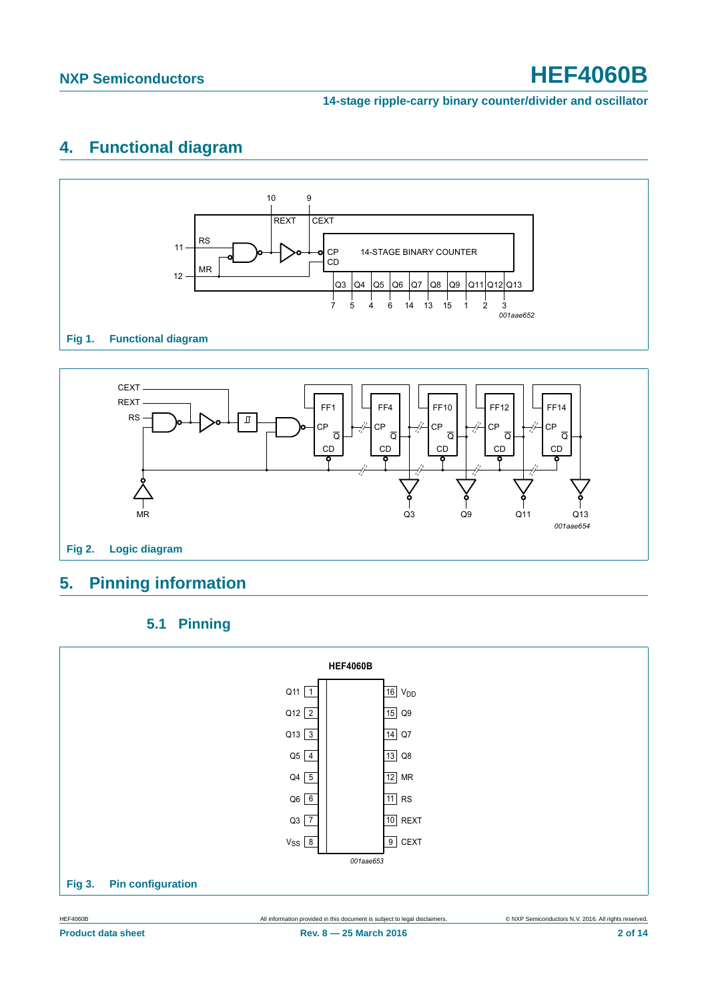### **14-stage ripple-carry binary counter/divider and oscillator**

# <span id="page-1-0"></span>**4. Functional diagram**





# <span id="page-1-1"></span>**5. Pinning information**



<span id="page-1-2"></span>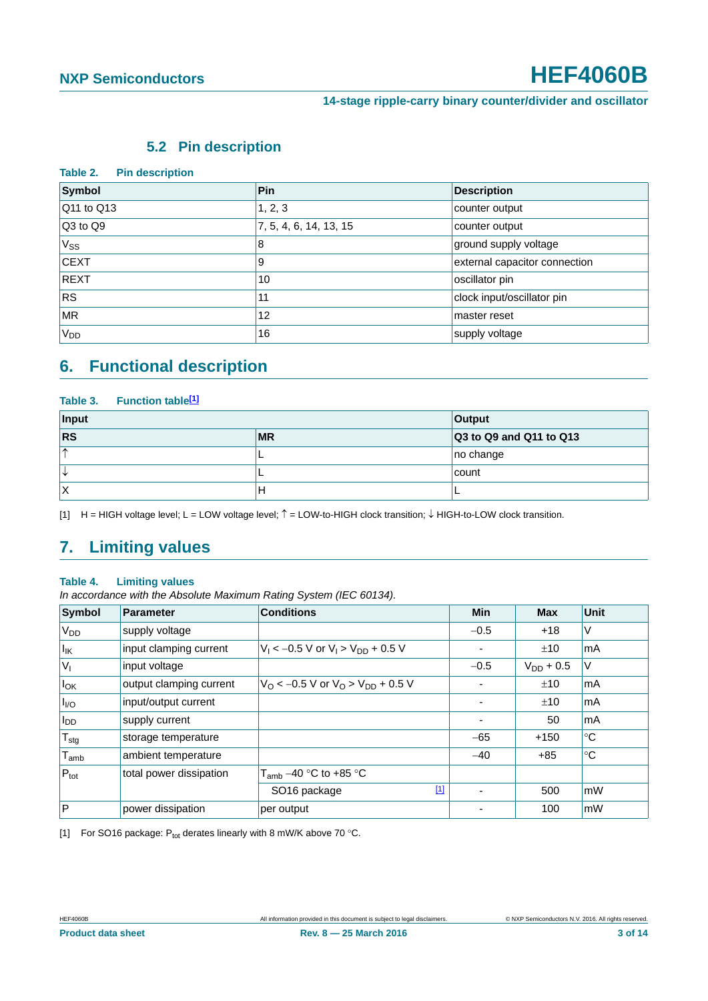## **5.2 Pin description**

<span id="page-2-2"></span>

| Table 2.<br><b>Pin description</b> |                        |                               |  |  |  |  |  |
|------------------------------------|------------------------|-------------------------------|--|--|--|--|--|
| Symbol                             | Pin                    | <b>Description</b>            |  |  |  |  |  |
| Q11 to Q13                         | 1, 2, 3                | counter output                |  |  |  |  |  |
| $\sqrt{Q}3$ to $\sqrt{Q}9$         | 7, 5, 4, 6, 14, 13, 15 | counter output                |  |  |  |  |  |
| $V_{SS}$                           | 8                      | ground supply voltage         |  |  |  |  |  |
| <b>CEXT</b>                        | 9                      | external capacitor connection |  |  |  |  |  |
| <b>REXT</b>                        | 10                     | oscillator pin                |  |  |  |  |  |
| <b>RS</b>                          | 11                     | clock input/oscillator pin    |  |  |  |  |  |
| <b>MR</b>                          | 12                     | master reset                  |  |  |  |  |  |
| V <sub>DD</sub>                    | 16                     | supply voltage                |  |  |  |  |  |

# <span id="page-2-3"></span>**6. Functional description**

| Table 3. Function table <sup>[1]</sup> |               |                         |  |  |  |  |  |
|----------------------------------------|---------------|-------------------------|--|--|--|--|--|
| Input                                  | <b>Output</b> |                         |  |  |  |  |  |
| <b>RS</b>                              | <b>MR</b>     | Q3 to Q9 and Q11 to Q13 |  |  |  |  |  |
| $\uparrow$                             |               | no change               |  |  |  |  |  |
| ╰                                      |               | count                   |  |  |  |  |  |
| Χ                                      | Н             |                         |  |  |  |  |  |

<span id="page-2-0"></span>[1]  $H = HIGH$  voltage level; L = LOW voltage level;  $\hat{T} = LOW-to$ -HIGH clock transition;  $\downarrow$  HIGH-to-LOW clock transition.

# <span id="page-2-4"></span>**7. Limiting values**

#### **Table 4. Limiting values**

*In accordance with the Absolute Maximum Rating System (IEC 60134).*

| Symbol                       | <b>Parameter</b>        | <b>Conditions</b>                                          | <b>Min</b>     | <b>Max</b>     | <b>Unit</b> |
|------------------------------|-------------------------|------------------------------------------------------------|----------------|----------------|-------------|
| <b>V<sub>DD</sub></b>        | supply voltage          |                                                            | $-0.5$         | $+18$          | V           |
| $\vert I_{\mathsf{IK}}\vert$ | input clamping current  | $V_1 < -0.5$ V or $V_1 > V_{DD} + 0.5$ V                   |                | ±10            | mA          |
| $ V_1$                       | input voltage           |                                                            | $-0.5$         | $V_{DD}$ + 0.5 | V           |
| $I_{OK}$                     | output clamping current | $V_{\rm O}$ < -0.5 V or $V_{\rm O}$ > $V_{\rm DD}$ + 0.5 V |                | ±10            | mA          |
| $I_{\text{UO}}$              | input/output current    |                                                            |                | ±10            | mA          |
| $I_{DD}$                     | supply current          |                                                            | $\blacksquare$ | 50             | mA          |
| $T_{\text{stg}}$             | storage temperature     |                                                            | $-65$          | $+150$         | ℃           |
| $\mathsf{T}_{\mathsf{amb}}$  | ambient temperature     |                                                            | $-40$          | $+85$          | $^{\circ}C$ |
| $P_{\text{tot}}$             | total power dissipation | $T_{amb}$ –40 °C to +85 °C                                 |                |                |             |
|                              |                         | $[1]$<br>SO <sub>16</sub> package                          | ۰              | 500            | mW          |
| $\mathsf{P}$                 | power dissipation       | per output                                                 |                | 100            | mW          |

<span id="page-2-1"></span>[1] For SO16 package:  $P_{tot}$  derates linearly with 8 mW/K above 70 °C.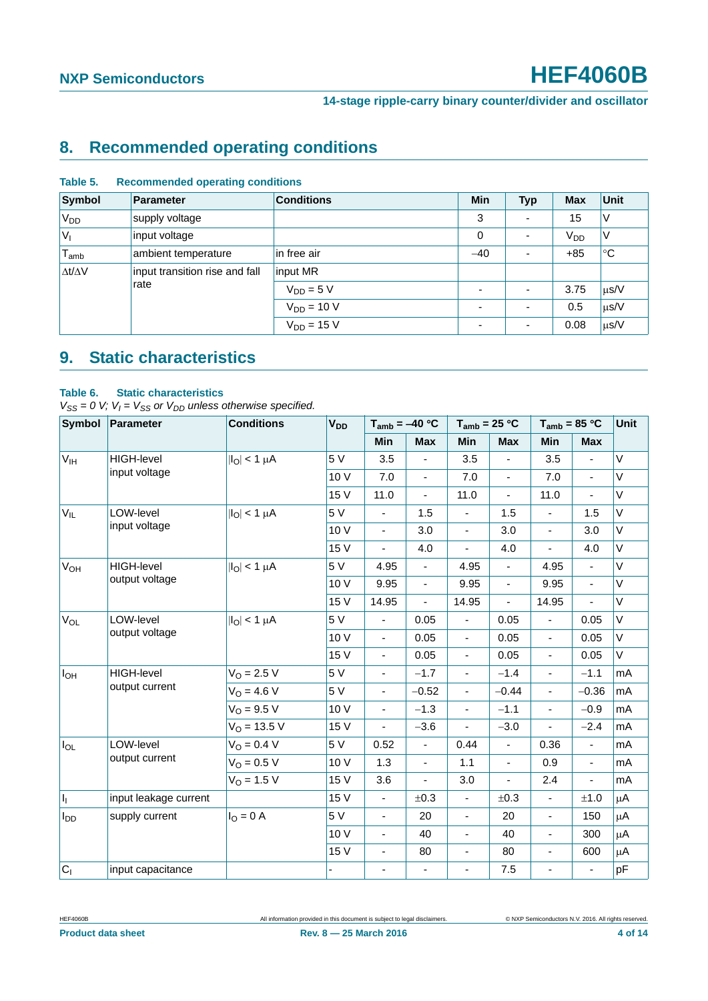# <span id="page-3-0"></span>**8. Recommended operating conditions**

| Symbol              | <b>Parameter</b>               | <b>Conditions</b> | <b>Min</b>               | <b>Typ</b>               | <b>Max</b>      | <b>Unit</b> |
|---------------------|--------------------------------|-------------------|--------------------------|--------------------------|-----------------|-------------|
| $V_{DD}$            | supply voltage                 |                   | 3                        | $\overline{\phantom{0}}$ | 15              | V           |
| $ V_1$              | input voltage                  |                   | $\mathbf 0$              | $\overline{\phantom{a}}$ | V <sub>DD</sub> | ٧           |
| $T_{\mathsf{amb}}$  | ambient temperature            | in free air       | $-40$                    | $\overline{\phantom{a}}$ | $+85$           | $^{\circ}C$ |
| $\Delta t/\Delta V$ | input transition rise and fall | input MR          |                          |                          |                 |             |
|                     | rate                           | $V_{DD} = 5 V$    | $\overline{\phantom{0}}$ | $\overline{\phantom{a}}$ | 3.75            | $\mu$ s/V   |
|                     |                                | $V_{DD} = 10 V$   | $\overline{a}$           | $\overline{\phantom{a}}$ | 0.5             | $\mu$ s/V   |
|                     |                                | $V_{DD} = 15 V$   | $\overline{\phantom{0}}$ | $\overline{\phantom{a}}$ | 0.08            | $\mu$ s/V   |

#### **Table 5. Recommended operating conditions**

# <span id="page-3-1"></span>**9. Static characteristics**

#### **Table 6. Static characteristics**

 $V_{SS} = 0$  V;  $V_I = V_{SS}$  or  $V_{DD}$  unless otherwise specified.

| Symbol                | Parameter             | <b>Conditions</b>       | <b>V<sub>DD</sub></b> | $T_{amb} = -40 °C$       |                          | $T_{amb}$ = 25 °C        |                          | $T_{amb}$ = 85 °C        |                          | Unit   |
|-----------------------|-----------------------|-------------------------|-----------------------|--------------------------|--------------------------|--------------------------|--------------------------|--------------------------|--------------------------|--------|
|                       |                       |                         |                       | Min                      | <b>Max</b>               | Min                      | <b>Max</b>               | <b>Min</b>               | <b>Max</b>               |        |
| V <sub>IH</sub>       | <b>HIGH-level</b>     | $ I_O  < 1 \mu A$       | 5 V                   | 3.5                      |                          | 3.5                      |                          | 3.5                      |                          | $\vee$ |
|                       | input voltage         |                         | 10 V                  | 7.0                      | $\blacksquare$           | 7.0                      | ÷,                       | 7.0                      | ä,                       | V      |
|                       |                       |                         | 15 V                  | 11.0                     | $\blacksquare$           | 11.0                     | $\blacksquare$           | 11.0                     | $\blacksquare$           | V      |
| $V_{IL}$              | LOW-level             | $ I_O  < 1 \mu A$       | 5 V                   | $\blacksquare$           | 1.5                      | $\blacksquare$           | 1.5                      | $\overline{\phantom{a}}$ | 1.5                      | V      |
|                       | input voltage         |                         | 10 V                  | $\blacksquare$           | 3.0                      | $\overline{\phantom{a}}$ | 3.0                      | $\overline{\phantom{a}}$ | 3.0                      | V      |
|                       |                       |                         | 15 V                  | $\blacksquare$           | 4.0                      | $\overline{\phantom{a}}$ | 4.0                      | $\blacksquare$           | 4.0                      | V      |
| <b>V<sub>OH</sub></b> | <b>HIGH-level</b>     | $ I_{\rm O}  < 1 \mu A$ | 5 V                   | 4.95                     | $\overline{\phantom{a}}$ | 4.95                     | $\overline{\phantom{a}}$ | 4.95                     | $\overline{\phantom{a}}$ | V      |
|                       | output voltage        |                         | 10 V                  | 9.95                     | $\blacksquare$           | 9.95                     | $\overline{\phantom{a}}$ | 9.95                     | $\blacksquare$           | V      |
|                       |                       |                         | 15 V                  | 14.95                    | $\blacksquare$           | 14.95                    | $\blacksquare$           | 14.95                    |                          | $\vee$ |
| <b>V<sub>OL</sub></b> | LOW-level             | $ I_O  < 1 \mu A$       | 5 V                   | $\omega$                 | 0.05                     | $\blacksquare$           | 0.05                     | $\blacksquare$           | 0.05                     | V      |
|                       | output voltage        |                         | 10 V                  | $\blacksquare$           | 0.05                     | $\blacksquare$           | 0.05                     | $\overline{\phantom{a}}$ | 0.05                     | V      |
|                       |                       |                         | 15 V                  | $\blacksquare$           | 0.05                     | $\overline{\phantom{a}}$ | 0.05                     | $\overline{\phantom{a}}$ | 0.05                     | V      |
| $I_{OH}$              | <b>HIGH-level</b>     | $V_O = 2.5 V$           | 5 V                   | $\blacksquare$           | $-1.7$                   | $\blacksquare$           | $-1.4$                   | $\blacksquare$           | $-1.1$                   | mA     |
|                       | output current        | $V_{\Omega} = 4.6 V$    | 5 V                   | $\overline{\phantom{a}}$ | $-0.52$                  | $\blacksquare$           | $-0.44$                  | $\overline{\phantom{a}}$ | $-0.36$                  | mA     |
|                       |                       | $V_{O} = 9.5 V$         | 10 V                  | $\overline{\phantom{a}}$ | $-1.3$                   | $\overline{\phantom{a}}$ | $-1.1$                   | $\overline{\phantom{a}}$ | $-0.9$                   | mA     |
|                       |                       | $V_{\Omega}$ = 13.5 V   | 15 V                  | $\blacksquare$           | $-3.6$                   | $\sim$                   | $-3.0$                   | $\blacksquare$           | $-2.4$                   | mA     |
| $I_{OL}$              | LOW-level             | $V_{O} = 0.4 V$         | 5 V                   | 0.52                     | $\blacksquare$           | 0.44                     | $\blacksquare$           | 0.36                     | $\blacksquare$           | mA     |
|                       | output current        | $V_{O} = 0.5 V$         | 10 V                  | 1.3                      | $\Box$                   | 1.1                      | ä,                       | 0.9                      | ä,                       | mA     |
|                       |                       | $V_{\Omega} = 1.5 V$    | 15 V                  | 3.6                      | $\blacksquare$           | 3.0                      | $\blacksquare$           | 2.4                      | ÷,                       | mA     |
| $\vert I_1 \vert$     | input leakage current |                         | 15 V                  | $\blacksquare$           | ±0.3                     | $\blacksquare$           | ±0.3                     | $\blacksquare$           | ±1.0                     | μA     |
| $I_{DD}$              | supply current        | $I_{O} = 0 A$           | 5 V                   | $\blacksquare$           | 20                       | $\blacksquare$           | 20                       | $\blacksquare$           | 150                      | μA     |
|                       |                       |                         | 10 V                  | $\blacksquare$           | 40                       | $\blacksquare$           | 40                       | $\overline{\phantom{a}}$ | 300                      | μA     |
|                       |                       |                         | 15 V                  | $\blacksquare$           | 80                       | $\blacksquare$           | 80                       | $\overline{\phantom{a}}$ | 600                      | μA     |
| $C_1$                 | input capacitance     |                         |                       | $\blacksquare$           | $\blacksquare$           | $\blacksquare$           | 7.5                      | $\blacksquare$           | $\blacksquare$           | pF     |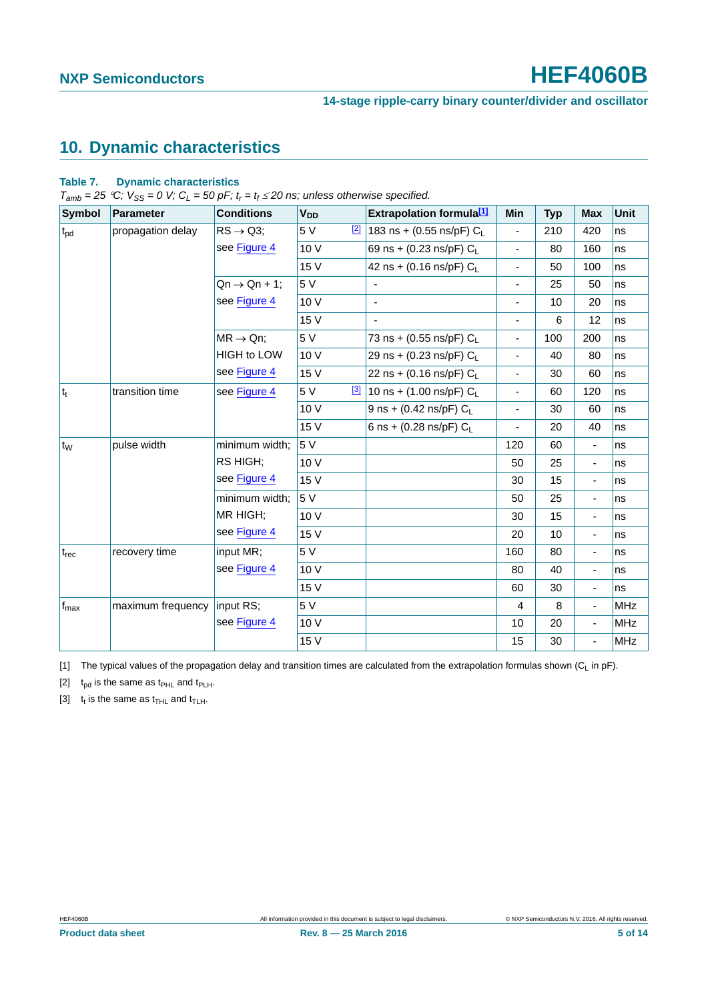# <span id="page-4-3"></span>**10. Dynamic characteristics**

#### **Table 7. Dynamic characteristics**

 $T_{amb} = 25 \degree C$ ;  $V_{SS} = 0$  V;  $C_L = 50$  pF;  $t_r = t_f \le 20$  ns; unless otherwise specified.

| Symbol           | <b>Parameter</b>  | <b>Conditions</b>         | <b>V<sub>DD</sub></b> | <b>Extrapolation formula[1]</b>                        | Min                          | <b>Typ</b> | <b>Max</b>               | Unit       |
|------------------|-------------------|---------------------------|-----------------------|--------------------------------------------------------|------------------------------|------------|--------------------------|------------|
| $t_{\rm pd}$     | propagation delay | $RS \rightarrow Q3$ ;     | 5 V                   | $\frac{[2]}{[2]}$ 183 ns + (0.55 ns/pF) C <sub>L</sub> | $\blacksquare$               | 210        | 420                      | ns         |
|                  |                   | see Figure 4              | 10 V                  | 69 ns + (0.23 ns/pF) $C_L$                             | $\blacksquare$               | 80         | 160                      | ns         |
|                  |                   |                           | 15 V                  | 42 ns + (0.16 ns/pF) $C_L$                             | $\frac{1}{2}$                | 50         | 100                      | ns         |
|                  |                   | $Qn \rightarrow Qn + 1$ ; | 5 V                   | $\overline{\phantom{a}}$                               | $\blacksquare$               | 25         | 50                       | ns         |
|                  |                   | see Figure 4              | 10 V                  | ä,                                                     | $\overline{\phantom{a}}$     | 10         | 20                       | ns         |
|                  |                   |                           | 15 V                  | $\blacksquare$                                         | $\overline{\phantom{a}}$     | 6          | 12                       | ns         |
|                  |                   | $MR \rightarrow Qn$ ;     | 5 V                   | 73 ns + (0.55 ns/pF) $C_L$                             | $\qquad \qquad \blacksquare$ | 100        | 200                      | ns         |
|                  |                   | <b>HIGH to LOW</b>        | 10 V                  | 29 ns + (0.23 ns/pF) $C_L$                             | $\qquad \qquad \blacksquare$ | 40         | 80                       | ns         |
|                  |                   | see Figure 4              | 15 V                  | 22 ns + (0.16 ns/pF) $C_L$                             | $\frac{1}{2}$                | 30         | 60                       | ns         |
| $ t_t $          | transition time   | see Figure 4              | 5 V                   | $\frac{3}{3}$ 10 ns + (1.00 ns/pF) C <sub>L</sub>      | $\qquad \qquad \blacksquare$ | 60         | 120                      | ns         |
|                  |                   |                           | 10 V                  | 9 ns + (0.42 ns/pF) $C_L$                              | $\frac{1}{2}$                | 30         | 60                       | ns         |
|                  |                   |                           | 15 V                  | 6 ns + (0.28 ns/pF) $C_L$                              | $\qquad \qquad \blacksquare$ | 20         | 40                       | ns         |
| t <sub>w</sub>   | pulse width       | minimum width:            | 5 V                   |                                                        | 120                          | 60         | ÷,                       | ns         |
|                  |                   | RS HIGH;                  | 10 V                  |                                                        | 50                           | 25         | ÷,                       | ns         |
|                  |                   | see Figure 4              | 15 V                  |                                                        | 30                           | 15         | $\overline{\phantom{0}}$ | ns         |
|                  |                   | minimum width;            | 5 V                   |                                                        | 50                           | 25         | $\overline{\phantom{0}}$ | ns         |
|                  |                   | MR HIGH;                  | 10 V                  |                                                        | 30                           | 15         | $\overline{\phantom{0}}$ | ns         |
|                  |                   | see Figure 4              | 15 V                  |                                                        | 20                           | 10         | $\overline{\phantom{0}}$ | ns         |
| $t_{rec}$        | recovery time     | input MR;                 | 5 V                   |                                                        | 160                          | 80         | $\overline{\phantom{0}}$ | ns         |
|                  |                   | see Figure 4              | 10V                   |                                                        | 80                           | 40         | ÷,                       | ns         |
|                  |                   |                           | 15 V                  |                                                        | 60                           | 30         | $\overline{\phantom{0}}$ | ns         |
| $f_{\text{max}}$ | maximum frequency | input RS;                 | 5 V                   |                                                        | 4                            | 8          | ÷,                       | <b>MHz</b> |
|                  |                   | see Figure 4              | 10 V                  |                                                        | 10                           | 20         | ٠                        | <b>MHz</b> |
|                  |                   |                           | 15 V                  |                                                        | 15                           | 30         | ÷,                       | <b>MHz</b> |

<span id="page-4-0"></span>[1] The typical values of the propagation delay and transition times are calculated from the extrapolation formulas shown  $(C_L$  in pF).

<span id="page-4-1"></span>[2]  $t_{pd}$  is the same as  $t_{PHL}$  and  $t_{PLH}$ .

<span id="page-4-2"></span>[3]  $t_t$  is the same as  $t_{THL}$  and  $t_{TLH}$ .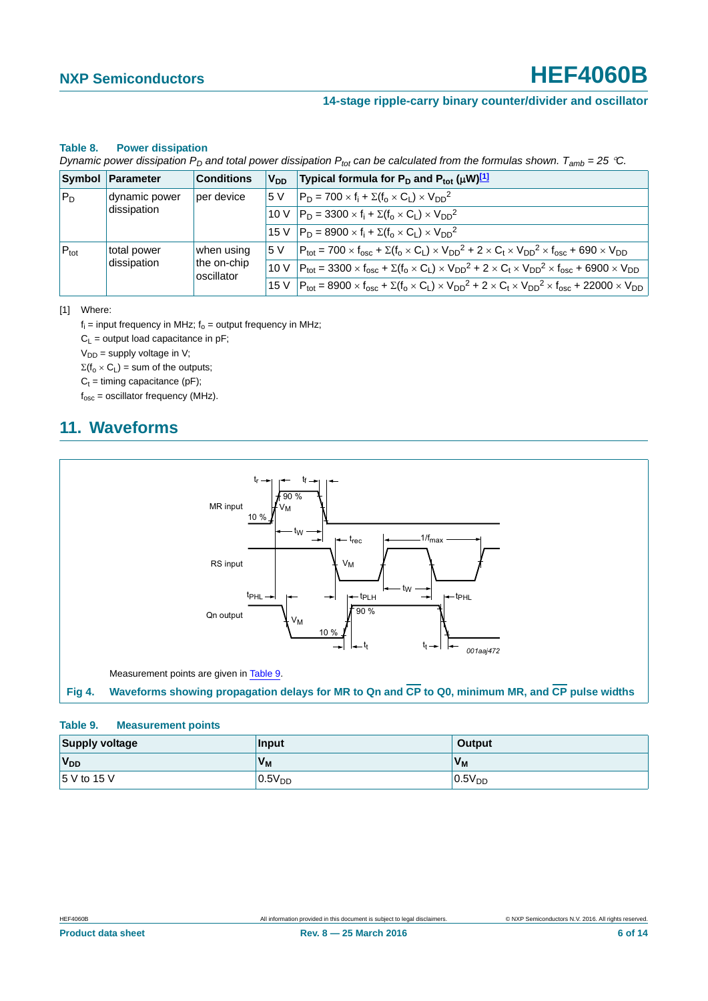### **14-stage ripple-carry binary counter/divider and oscillator**

#### **Table 8. Power dissipation**

*Dynamic power dissipation P<sub>D</sub> and total power dissipation P<sub>tot</sub> can be calculated from the formulas shown.*  $T_{amb} = 25 \degree C$ .

|                  | Symbol Parameter | <b>Conditions</b>         | <b>V<sub>DD</sub></b> | Typical formula for $P_D$ and $P_{tot}$ ( $\mu$ W) <sup>[1]</sup>                                                                                                                           |
|------------------|------------------|---------------------------|-----------------------|---------------------------------------------------------------------------------------------------------------------------------------------------------------------------------------------|
| $P_D$            | dynamic power    | per device                | .5 V                  | $P_D = 700 \times f_i + \Sigma(f_0 \times C_1) \times V_{DD}^2$                                                                                                                             |
| dissipation      |                  |                           |                       | 10 V $ P_D = 3300 \times f_i + \Sigma(f_o \times C_l) \times V_{DD}^2$                                                                                                                      |
|                  |                  |                           |                       | 15 V $ P_D = 8900 \times f_i + \Sigma(f_0 \times C_1) \times V_{DD}^2$                                                                                                                      |
| $P_{\text{tot}}$ | total power      | when using                | 15 V                  | $P_{\text{tot}} = 700 \times f_{\text{osc}} + \Sigma (f_0 \times C_L) \times V_{DD}^2 + 2 \times C_t \times V_{DD}^2 \times f_{\text{osc}} + 690 \times V_{DD}$                             |
|                  | dissipation      | the on-chip<br>oscillator |                       | 10 V $ P_{\text{tot}} = 3300 \times f_{\text{osc}} + \Sigma(f_0 \times C_L) \times V_{\text{DD}}^2 + 2 \times C_t \times V_{\text{DD}}^2 \times f_{\text{osc}} + 6900 \times V_{\text{DD}}$ |
|                  |                  |                           |                       | 15 V $ P_{\text{tot}} = 8900 \times f_{\text{osc}} + \Sigma (f_0 \times C_L) \times V_{DD}^2 + 2 \times C_t \times V_{DD}^2 \times f_{\text{osc}} + 22000 \times V_{DD}$                    |

<span id="page-5-1"></span>[1] Where:

 $f_i$  = input frequency in MHz;  $f_o$  = output frequency in MHz;

 $C_L$  = output load capacitance in pF;

 $V_{DD}$  = supply voltage in V;

 $\Sigma(f_0 \times C_L)$  = sum of the outputs;

 $C_t =$  timing capacitance (pF);

 $f_{\text{osc}}$  = oscillator frequency (MHz).

# <span id="page-5-3"></span>**11. Waveforms**



#### <span id="page-5-2"></span><span id="page-5-0"></span>**Table 9. Measurement points**

| <b>Supply voltage</b> | Input       | <b>Output</b> |  |
|-----------------------|-------------|---------------|--|
| $V_{DD}$              | $V_{M}$     | $V_{M}$       |  |
| 5 V to 15 V           | $0.5V_{DD}$ | $0.5V_{DD}$   |  |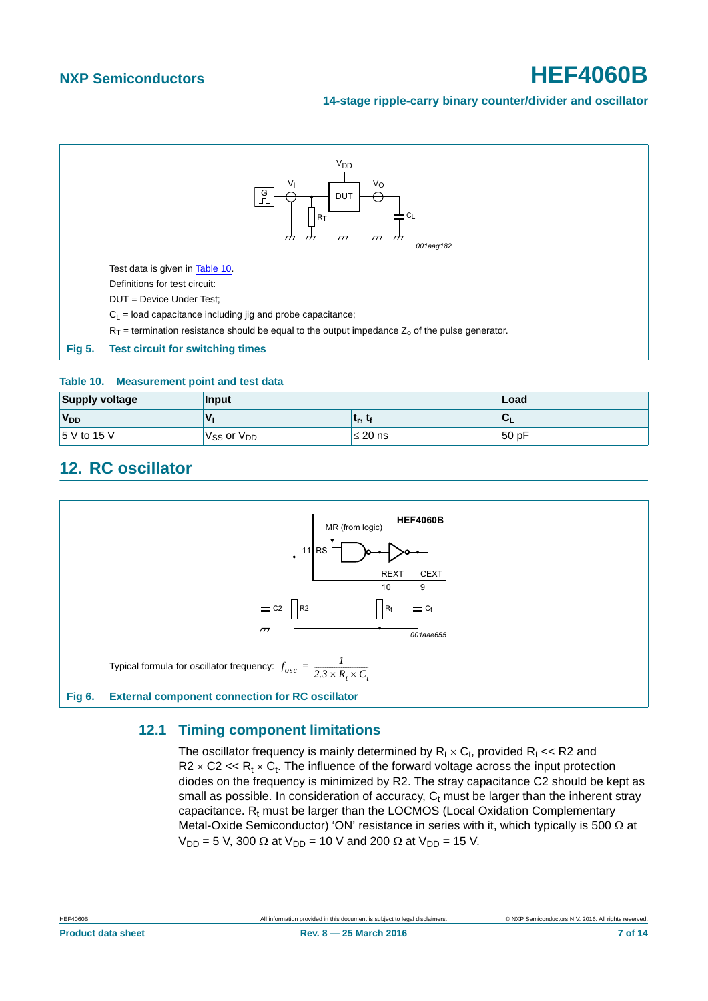#### **14-stage ripple-carry binary counter/divider and oscillator**



#### <span id="page-6-0"></span>**Table 10. Measurement point and test data**

| Supply voltage        | Input                | Load         |          |
|-----------------------|----------------------|--------------|----------|
| <b>V<sub>DD</sub></b> |                      | ւթ, ւք       | ◡        |
| $15$ V to 15 V        | $V_{SS}$ or $V_{DD}$ | $\leq 20$ ns | $ 50$ pF |

# <span id="page-6-1"></span>**12. RC oscillator**



## <span id="page-6-2"></span>**12.1 Timing component limitations**

The oscillator frequency is mainly determined by  $R_t \times C_t$ , provided  $R_t \ll R2$  and  $R2 \times C2 \ll R_t \times C_t$ . The influence of the forward voltage across the input protection diodes on the frequency is minimized by R2. The stray capacitance C2 should be kept as small as possible. In consideration of accuracy,  $C_t$  must be larger than the inherent stray capacitance.  $R_t$  must be larger than the LOCMOS (Local Oxidation Complementary Metal-Oxide Semiconductor) 'ON' resistance in series with it, which typically is 500  $\Omega$  at  $V_{DD} = 5$  V, 300  $\Omega$  at V<sub>DD</sub> = 10 V and 200  $\Omega$  at V<sub>DD</sub> = 15 V.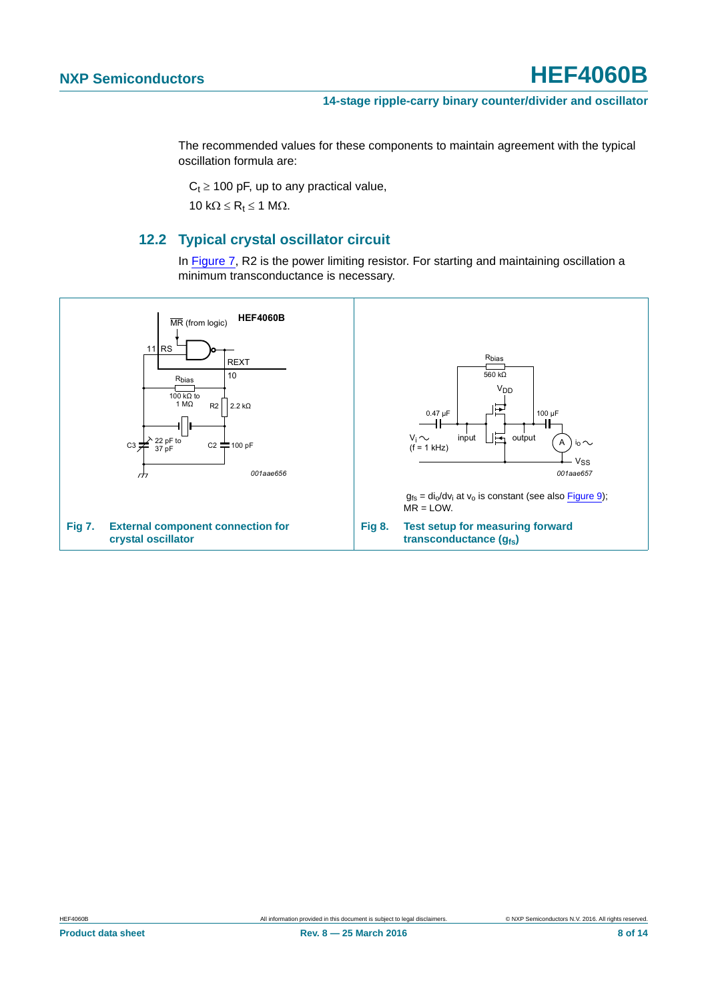The recommended values for these components to maintain agreement with the typical oscillation formula are:

 $C_t \ge 100$  pF, up to any practical value,

10 k $\Omega \le R_t \le 1$  M $\Omega$ .

## **12.2 Typical crystal oscillator circuit**

In [Figure 7,](#page-7-0) R2 is the power limiting resistor. For starting and maintaining oscillation a minimum transconductance is necessary.

<span id="page-7-1"></span><span id="page-7-0"></span>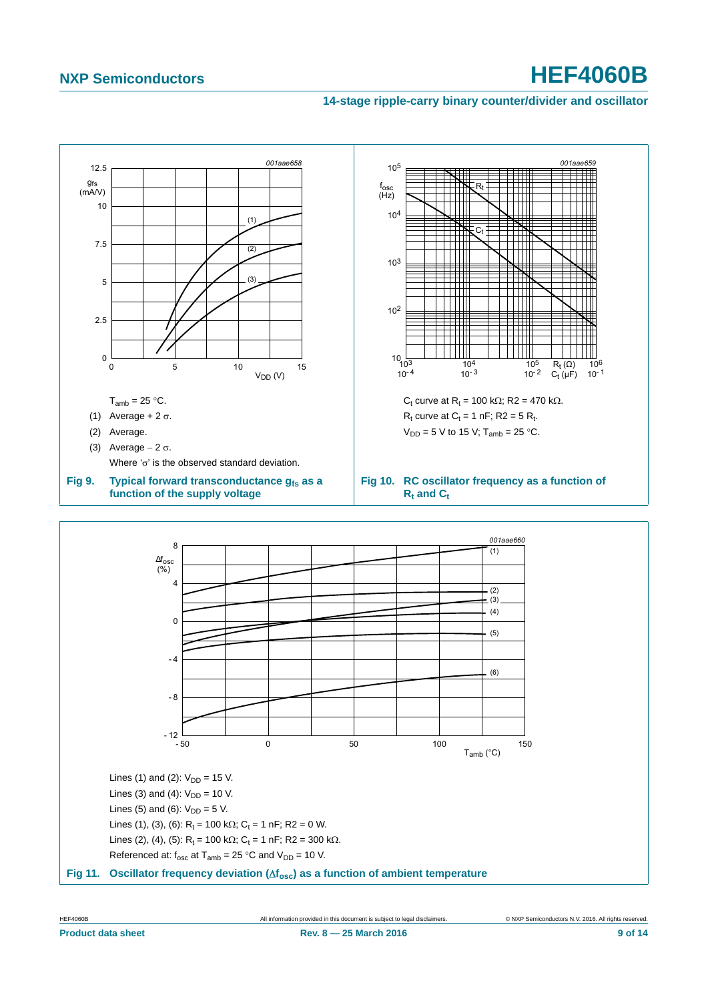#### **14-stage ripple-carry binary counter/divider and oscillator**



<span id="page-8-0"></span>Lines (3) and (4):  $V_{DD} = 10$  V.

Lines (5) and (6):  $V_{DD} = 5$  V.

Lines (1), (3), (6):  $R_t = 100 \text{ k}\Omega$ ;  $C_t = 1 \text{ nF}$ ; R2 = 0 W. Lines (2), (4), (5):  $R_t = 100 \text{ k}\Omega$ ;  $C_t = 1 \text{ nF}$ ; R2 = 300 k $\Omega$ .

Referenced at:  $f_{\text{osc}}$  at  $T_{\text{amb}} = 25 \degree C$  and  $V_{\text{DD}} = 10 \text{ V}$ .



HEF4060B All information provided in this document is subject to legal disclaimers. © NXP Semiconductors N.V. 2016. All rights reserved.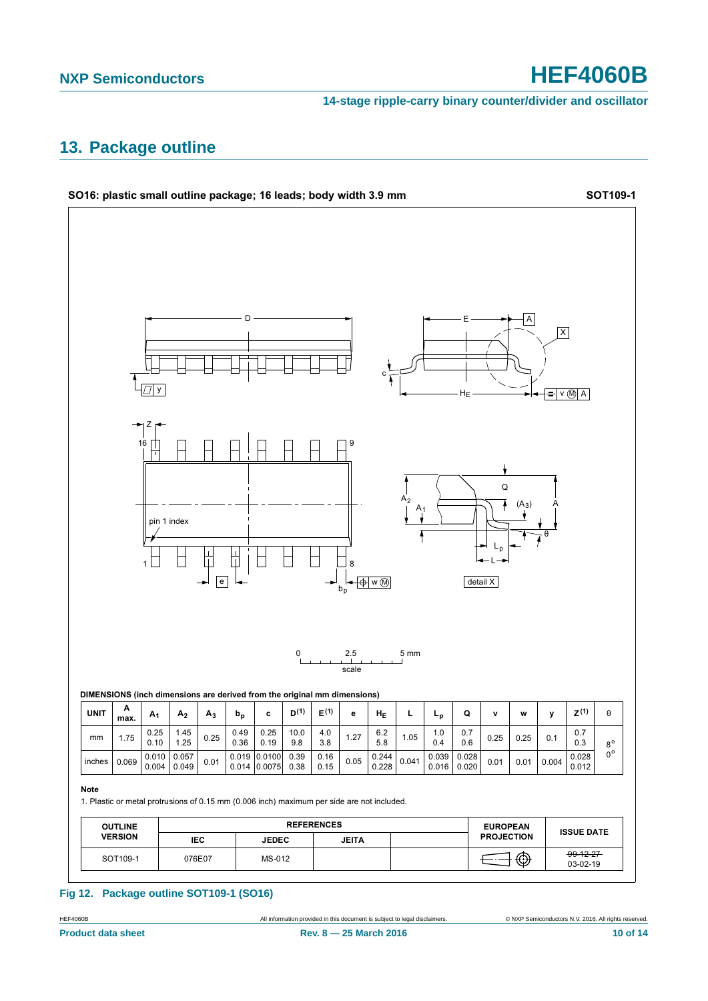**14-stage ripple-carry binary counter/divider and oscillator**

# <span id="page-9-0"></span>**13. Package outline**



#### **Fig 12. Package outline SOT109-1 (SO16)**

**Product data sheet Rev. 8 — 25 March 2016 10 of 14 10 of 14**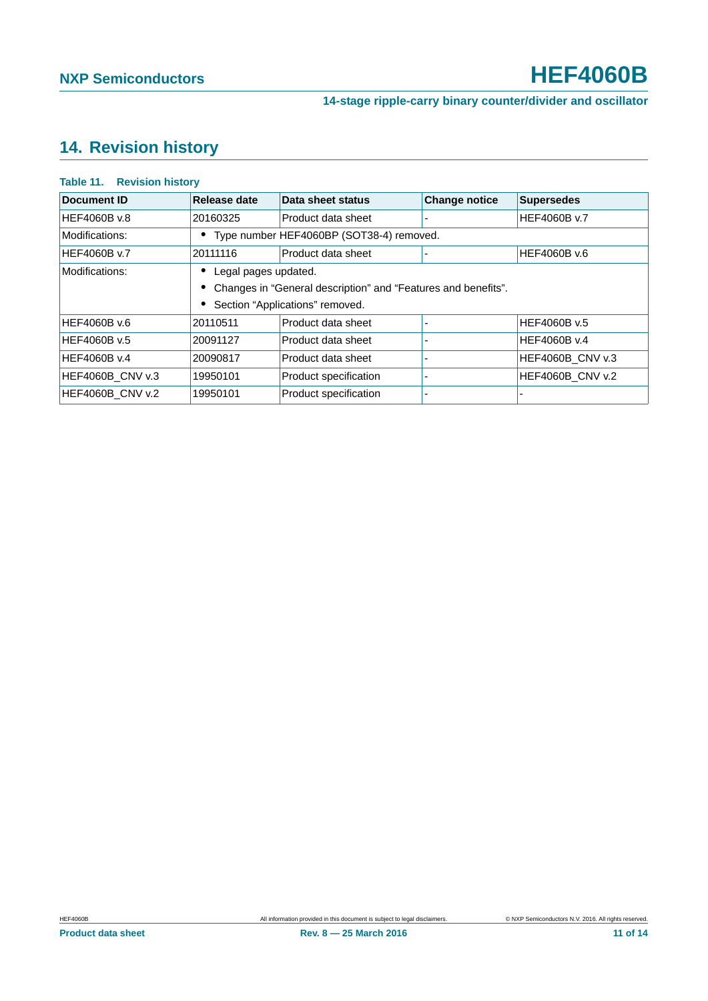# <span id="page-10-0"></span>**14. Revision history**

#### **Table 11. Revision history**

| Document ID         | Release date         | Data sheet status                                               | <b>Change notice</b> | <b>Supersedes</b>   |  |  |  |  |
|---------------------|----------------------|-----------------------------------------------------------------|----------------------|---------------------|--|--|--|--|
| HEF4060B v.8        | 20160325             | Product data sheet                                              |                      | <b>HEF4060B v.7</b> |  |  |  |  |
| Modifications:      |                      | Type number HEF4060BP (SOT38-4) removed.                        |                      |                     |  |  |  |  |
| <b>HEF4060B v.7</b> | 20111116             | Product data sheet                                              |                      | HEF4060B v.6        |  |  |  |  |
| Modifications:      | Legal pages updated. |                                                                 |                      |                     |  |  |  |  |
|                     |                      | • Changes in "General description" and "Features and benefits". |                      |                     |  |  |  |  |
|                     |                      | Section "Applications" removed.                                 |                      |                     |  |  |  |  |
| <b>HEF4060B v.6</b> | 20110511             | Product data sheet                                              |                      | <b>HEF4060B v.5</b> |  |  |  |  |
| HEF4060B v.5        | 20091127             | Product data sheet                                              |                      | HEF4060B v.4        |  |  |  |  |
| HEF4060B v.4        | 20090817             | Product data sheet                                              |                      | HEF4060B CNV v.3    |  |  |  |  |
| HEF4060B CNV v.3    | 19950101             | Product specification                                           |                      | HEF4060B_CNV v.2    |  |  |  |  |
| HEF4060B_CNV v.2    | 19950101             | Product specification                                           |                      |                     |  |  |  |  |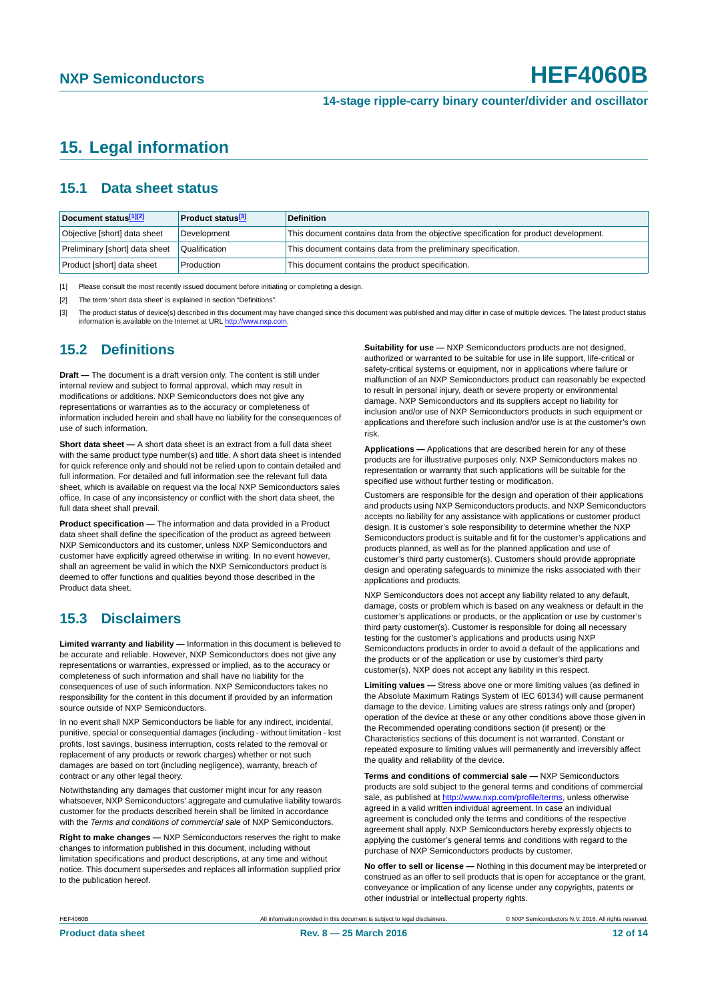# <span id="page-11-3"></span>**15. Legal information**

### <span id="page-11-4"></span>**15.1 Data sheet status**

| Document status[1][2]          | <b>Product status</b> <sup>[3]</sup> | <b>Definition</b>                                                                     |
|--------------------------------|--------------------------------------|---------------------------------------------------------------------------------------|
| Objective [short] data sheet   | Development                          | This document contains data from the objective specification for product development. |
| Preliminary [short] data sheet | Qualification                        | This document contains data from the preliminary specification.                       |
| Product [short] data sheet     | Production                           | This document contains the product specification.                                     |

<span id="page-11-0"></span>[1] Please consult the most recently issued document before initiating or completing a design.

<span id="page-11-1"></span>[2] The term 'short data sheet' is explained in section "Definitions".

<span id="page-11-2"></span>[3] The product status of device(s) described in this document may have changed since this document was published and may differ in case of multiple devices. The latest product status<br>information is available on the Intern

## <span id="page-11-5"></span>**15.2 Definitions**

**Draft —** The document is a draft version only. The content is still under internal review and subject to formal approval, which may result in modifications or additions. NXP Semiconductors does not give any representations or warranties as to the accuracy or completeness of information included herein and shall have no liability for the consequences of use of such information.

**Short data sheet —** A short data sheet is an extract from a full data sheet with the same product type number(s) and title. A short data sheet is intended for quick reference only and should not be relied upon to contain detailed and full information. For detailed and full information see the relevant full data sheet, which is available on request via the local NXP Semiconductors sales office. In case of any inconsistency or conflict with the short data sheet, the full data sheet shall prevail.

**Product specification —** The information and data provided in a Product data sheet shall define the specification of the product as agreed between NXP Semiconductors and its customer, unless NXP Semiconductors and customer have explicitly agreed otherwise in writing. In no event however, shall an agreement be valid in which the NXP Semiconductors product is deemed to offer functions and qualities beyond those described in the Product data sheet.

## <span id="page-11-6"></span>**15.3 Disclaimers**

**Limited warranty and liability —** Information in this document is believed to be accurate and reliable. However, NXP Semiconductors does not give any representations or warranties, expressed or implied, as to the accuracy or completeness of such information and shall have no liability for the consequences of use of such information. NXP Semiconductors takes no responsibility for the content in this document if provided by an information source outside of NXP Semiconductors.

In no event shall NXP Semiconductors be liable for any indirect, incidental, punitive, special or consequential damages (including - without limitation - lost profits, lost savings, business interruption, costs related to the removal or replacement of any products or rework charges) whether or not such damages are based on tort (including negligence), warranty, breach of contract or any other legal theory.

Notwithstanding any damages that customer might incur for any reason whatsoever, NXP Semiconductors' aggregate and cumulative liability towards customer for the products described herein shall be limited in accordance with the *Terms and conditions of commercial sale* of NXP Semiconductors.

**Right to make changes —** NXP Semiconductors reserves the right to make changes to information published in this document, including without limitation specifications and product descriptions, at any time and without notice. This document supersedes and replaces all information supplied prior to the publication hereof.

**Suitability for use —** NXP Semiconductors products are not designed, authorized or warranted to be suitable for use in life support, life-critical or safety-critical systems or equipment, nor in applications where failure or malfunction of an NXP Semiconductors product can reasonably be expected to result in personal injury, death or severe property or environmental damage. NXP Semiconductors and its suppliers accept no liability for inclusion and/or use of NXP Semiconductors products in such equipment or applications and therefore such inclusion and/or use is at the customer's own risk.

**Applications —** Applications that are described herein for any of these products are for illustrative purposes only. NXP Semiconductors makes no representation or warranty that such applications will be suitable for the specified use without further testing or modification.

Customers are responsible for the design and operation of their applications and products using NXP Semiconductors products, and NXP Semiconductors accepts no liability for any assistance with applications or customer product design. It is customer's sole responsibility to determine whether the NXP Semiconductors product is suitable and fit for the customer's applications and products planned, as well as for the planned application and use of customer's third party customer(s). Customers should provide appropriate design and operating safeguards to minimize the risks associated with their applications and products.

NXP Semiconductors does not accept any liability related to any default, damage, costs or problem which is based on any weakness or default in the customer's applications or products, or the application or use by customer's third party customer(s). Customer is responsible for doing all necessary testing for the customer's applications and products using NXP Semiconductors products in order to avoid a default of the applications and the products or of the application or use by customer's third party customer(s). NXP does not accept any liability in this respect.

**Limiting values —** Stress above one or more limiting values (as defined in the Absolute Maximum Ratings System of IEC 60134) will cause permanent damage to the device. Limiting values are stress ratings only and (proper) operation of the device at these or any other conditions above those given in the Recommended operating conditions section (if present) or the Characteristics sections of this document is not warranted. Constant or repeated exposure to limiting values will permanently and irreversibly affect the quality and reliability of the device.

**Terms and conditions of commercial sale —** NXP Semiconductors products are sold subject to the general terms and conditions of commercial sale, as published at<http://www.nxp.com/profile/terms>, unless otherwise agreed in a valid written individual agreement. In case an individual agreement is concluded only the terms and conditions of the respective agreement shall apply. NXP Semiconductors hereby expressly objects to applying the customer's general terms and conditions with regard to the purchase of NXP Semiconductors products by customer.

**No offer to sell or license —** Nothing in this document may be interpreted or construed as an offer to sell products that is open for acceptance or the grant, conveyance or implication of any license under any copyrights, patents or other industrial or intellectual property rights.

HEF4060B All information provided in this document is subject to legal disclaimers. © NXP Semiconductors N.V. 2016. All rights reserved.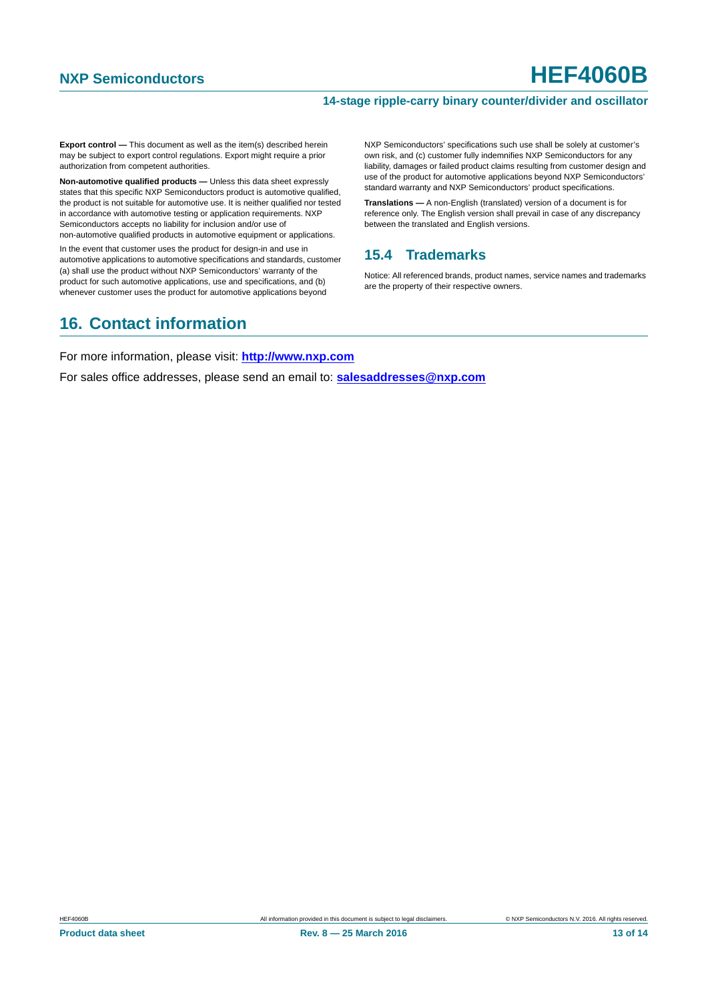#### **14-stage ripple-carry binary counter/divider and oscillator**

**Export control —** This document as well as the item(s) described herein may be subject to export control regulations. Export might require a prior authorization from competent authorities.

**Non-automotive qualified products —** Unless this data sheet expressly states that this specific NXP Semiconductors product is automotive qualified, the product is not suitable for automotive use. It is neither qualified nor tested in accordance with automotive testing or application requirements. NXP Semiconductors accepts no liability for inclusion and/or use of non-automotive qualified products in automotive equipment or applications.

In the event that customer uses the product for design-in and use in automotive applications to automotive specifications and standards, customer (a) shall use the product without NXP Semiconductors' warranty of the product for such automotive applications, use and specifications, and (b) whenever customer uses the product for automotive applications beyond

NXP Semiconductors' specifications such use shall be solely at customer's own risk, and (c) customer fully indemnifies NXP Semiconductors for any liability, damages or failed product claims resulting from customer design and use of the product for automotive applications beyond NXP Semiconductors' standard warranty and NXP Semiconductors' product specifications.

**Translations —** A non-English (translated) version of a document is for reference only. The English version shall prevail in case of any discrepancy between the translated and English versions.

## <span id="page-12-0"></span>**15.4 Trademarks**

Notice: All referenced brands, product names, service names and trademarks are the property of their respective owners.

# <span id="page-12-1"></span>**16. Contact information**

For more information, please visit: **http://www.nxp.com**

For sales office addresses, please send an email to: **salesaddresses@nxp.com**